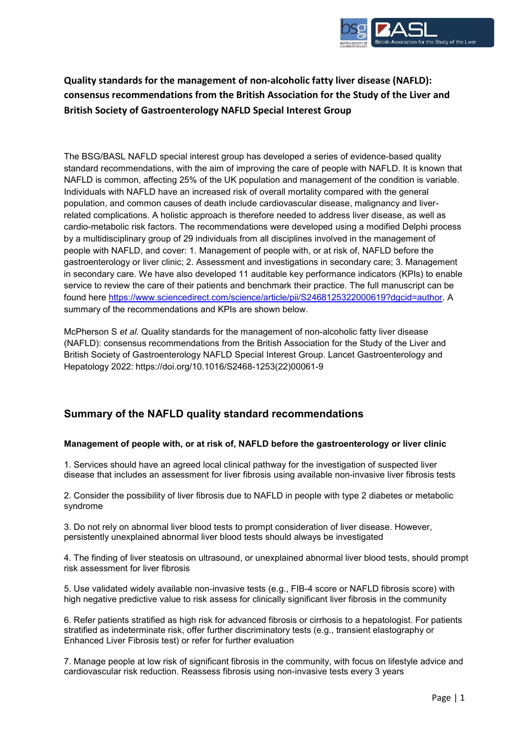

## **Quality standards for the management of non-alcoholic fatty liver disease (NAFLD): consensus recommendations from the British Association for the Study of the Liver and British Society of Gastroenterology NAFLD Special Interest Group**

The BSG/BASL NAFLD special interest group has developed a series of evidence-based quality standard recommendations, with the aim of improving the care of people with NAFLD. It is known that NAFLD is common, affecting 25% of the UK population and management of the condition is variable. Individuals with NAFLD have an increased risk of overall mortality compared with the general population, and common causes of death include cardiovascular disease, malignancy and liverrelated complications. A holistic approach is therefore needed to address liver disease, as well as cardio-metabolic risk factors. The recommendations were developed using a modified Delphi process by a multidisciplinary group of 29 individuals from all disciplines involved in the management of people with NAFLD, and cover: 1. Management of people with, or at risk of, NAFLD before the gastroenterology or liver clinic; 2. Assessment and investigations in secondary care; 3. Management in secondary care. We have also developed 11 auditable key performance indicators (KPIs) to enable service to review the care of their patients and benchmark their practice. The full manuscript can be found here [https://www.sciencedirect.com/science/article/pii/S2468125322000619?dgcid=author.](https://www.sciencedirect.com/science/article/pii/S2468125322000619?dgcid=author) A summary of the recommendations and KPIs are shown below.

McPherson S *et al.* Quality standards for the management of non-alcoholic fatty liver disease (NAFLD): consensus recommendations from the British Association for the Study of the Liver and British Society of Gastroenterology NAFLD Special Interest Group. Lancet Gastroenterology and Hepatology 2022: https://doi.org/10.1016/S2468-1253(22)00061-9

## **Summary of the NAFLD quality standard recommendations**

### **Management of people with, or at risk of, NAFLD before the gastroenterology or liver clinic**

1. Services should have an agreed local clinical pathway for the investigation of suspected liver disease that includes an assessment for liver fibrosis using available non-invasive liver fibrosis tests

2. Consider the possibility of liver fibrosis due to NAFLD in people with type 2 diabetes or metabolic syndrome

3. Do not rely on abnormal liver blood tests to prompt consideration of liver disease. However, persistently unexplained abnormal liver blood tests should always be investigated

4. The finding of liver steatosis on ultrasound, or unexplained abnormal liver blood tests, should prompt risk assessment for liver fibrosis

5. Use validated widely available non-invasive tests (e.g., FIB-4 score or NAFLD fibrosis score) with high negative predictive value to risk assess for clinically significant liver fibrosis in the community

6. Refer patients stratified as high risk for advanced fibrosis or cirrhosis to a hepatologist. For patients stratified as indeterminate risk, offer further discriminatory tests (e.g., transient elastography or Enhanced Liver Fibrosis test) or refer for further evaluation

7. Manage people at low risk of significant fibrosis in the community, with focus on lifestyle advice and cardiovascular risk reduction. Reassess fibrosis using non-invasive tests every 3 years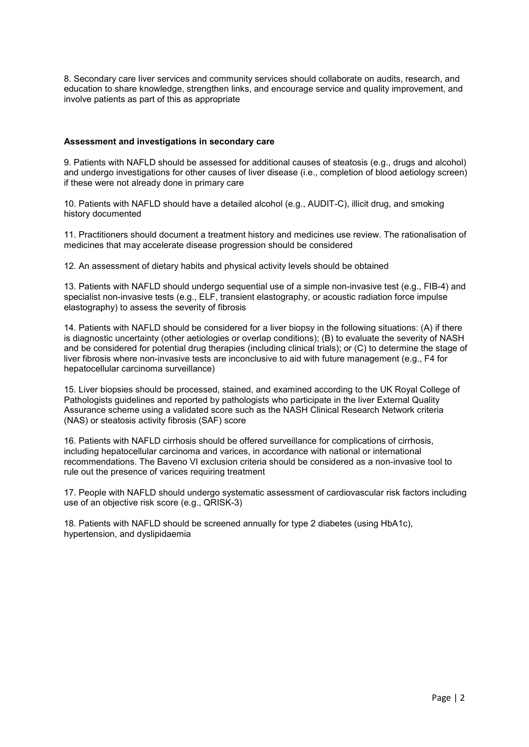8. Secondary care liver services and community services should collaborate on audits, research, and education to share knowledge, strengthen links, and encourage service and quality improvement, and involve patients as part of this as appropriate

#### **Assessment and investigations in secondary care**

9. Patients with NAFLD should be assessed for additional causes of steatosis (e.g., drugs and alcohol) and undergo investigations for other causes of liver disease (i.e., completion of blood aetiology screen) if these were not already done in primary care

10. Patients with NAFLD should have a detailed alcohol (e.g., AUDIT-C), illicit drug, and smoking history documented

11. Practitioners should document a treatment history and medicines use review. The rationalisation of medicines that may accelerate disease progression should be considered

12. An assessment of dietary habits and physical activity levels should be obtained

13. Patients with NAFLD should undergo sequential use of a simple non-invasive test (e.g., FIB-4) and specialist non-invasive tests (e.g., ELF, transient elastography, or acoustic radiation force impulse elastography) to assess the severity of fibrosis

14. Patients with NAFLD should be considered for a liver biopsy in the following situations: (A) if there is diagnostic uncertainty (other aetiologies or overlap conditions); (B) to evaluate the severity of NASH and be considered for potential drug therapies (including clinical trials); or (C) to determine the stage of liver fibrosis where non-invasive tests are inconclusive to aid with future management (e.g., F4 for hepatocellular carcinoma surveillance)

15. Liver biopsies should be processed, stained, and examined according to the UK Royal College of Pathologists guidelines and reported by pathologists who participate in the liver External Quality Assurance scheme using a validated score such as the NASH Clinical Research Network criteria (NAS) or steatosis activity fibrosis (SAF) score

16. Patients with NAFLD cirrhosis should be offered surveillance for complications of cirrhosis, including hepatocellular carcinoma and varices, in accordance with national or international recommendations. The Baveno VI exclusion criteria should be considered as a non-invasive tool to rule out the presence of varices requiring treatment

17. People with NAFLD should undergo systematic assessment of cardiovascular risk factors including use of an objective risk score (e.g., QRISK-3)

18. Patients with NAFLD should be screened annually for type 2 diabetes (using HbA1c), hypertension, and dyslipidaemia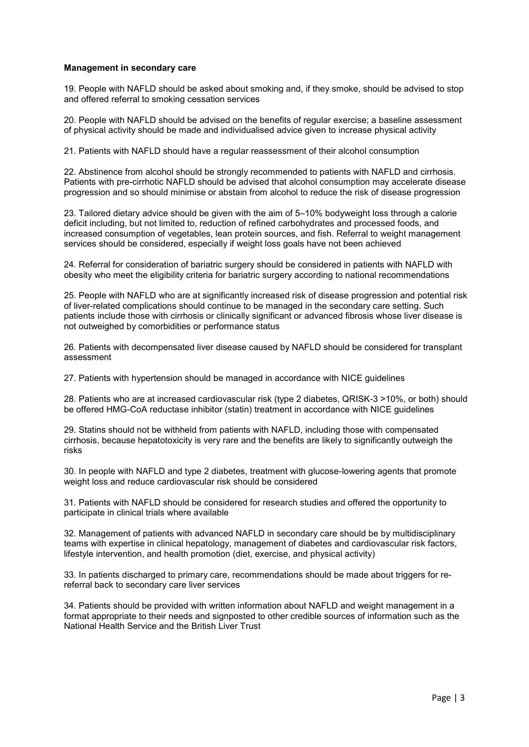#### **Management in secondary care**

19. People with NAFLD should be asked about smoking and, if they smoke, should be advised to stop and offered referral to smoking cessation services

20. People with NAFLD should be advised on the benefits of regular exercise; a baseline assessment of physical activity should be made and individualised advice given to increase physical activity

21. Patients with NAFLD should have a regular reassessment of their alcohol consumption

22. Abstinence from alcohol should be strongly recommended to patients with NAFLD and cirrhosis. Patients with pre-cirrhotic NAFLD should be advised that alcohol consumption may accelerate disease progression and so should minimise or abstain from alcohol to reduce the risk of disease progression

23. Tailored dietary advice should be given with the aim of 5–10% bodyweight loss through a calorie deficit including, but not limited to, reduction of refined carbohydrates and processed foods, and increased consumption of vegetables, lean protein sources, and fish. Referral to weight management services should be considered, especially if weight loss goals have not been achieved

24. Referral for consideration of bariatric surgery should be considered in patients with NAFLD with obesity who meet the eligibility criteria for bariatric surgery according to national recommendations

25. People with NAFLD who are at significantly increased risk of disease progression and potential risk of liver-related complications should continue to be managed in the secondary care setting. Such patients include those with cirrhosis or clinically significant or advanced fibrosis whose liver disease is not outweighed by comorbidities or performance status

26. Patients with decompensated liver disease caused by NAFLD should be considered for transplant assessment

27. Patients with hypertension should be managed in accordance with NICE guidelines

28. Patients who are at increased cardiovascular risk (type 2 diabetes, QRISK-3 >10%, or both) should be offered HMG-CoA reductase inhibitor (statin) treatment in accordance with NICE guidelines

29. Statins should not be withheld from patients with NAFLD, including those with compensated cirrhosis, because hepatotoxicity is very rare and the benefits are likely to significantly outweigh the risks

30. In people with NAFLD and type 2 diabetes, treatment with glucose-lowering agents that promote weight loss and reduce cardiovascular risk should be considered

31. Patients with NAFLD should be considered for research studies and offered the opportunity to participate in clinical trials where available

32. Management of patients with advanced NAFLD in secondary care should be by multidisciplinary teams with expertise in clinical hepatology, management of diabetes and cardiovascular risk factors, lifestyle intervention, and health promotion (diet, exercise, and physical activity)

33. In patients discharged to primary care, recommendations should be made about triggers for rereferral back to secondary care liver services

34. Patients should be provided with written information about NAFLD and weight management in a format appropriate to their needs and signposted to other credible sources of information such as the National Health Service and the British Liver Trust